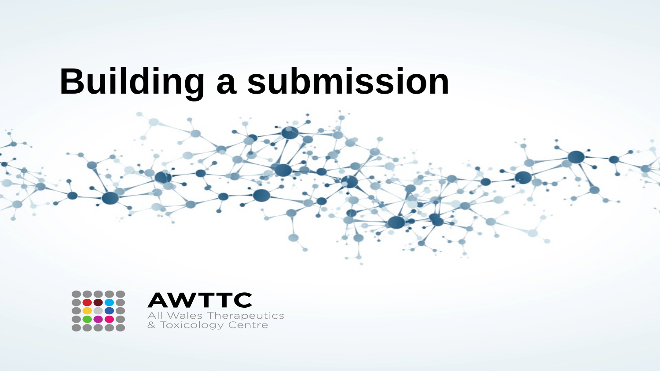# **Building a submission**

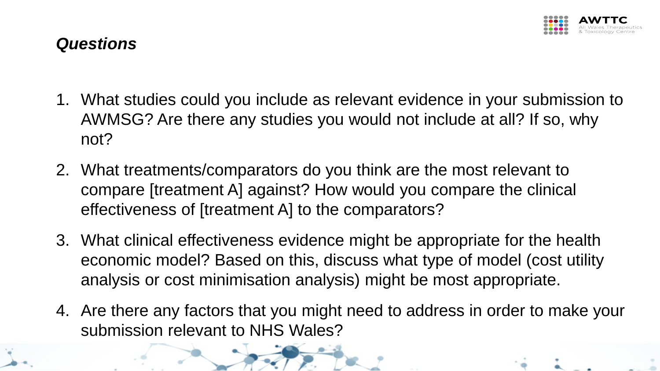

#### *Questions*

- 1. What studies could you include as relevant evidence in your submission to AWMSG? Are there any studies you would not include at all? If so, why not?
- 2. What treatments/comparators do you think are the most relevant to compare [treatment A] against? How would you compare the clinical effectiveness of [treatment A] to the comparators?
- 3. What clinical effectiveness evidence might be appropriate for the health economic model? Based on this, discuss what type of model (cost utility analysis or cost minimisation analysis) might be most appropriate.
- 4. Are there any factors that you might need to address in order to make your submission relevant to NHS Wales?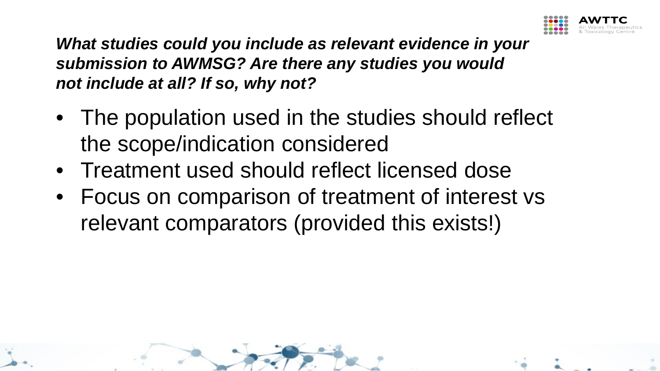

*What studies could you include as relevant evidence in your submission to AWMSG? Are there any studies you would not include at all? If so, why not?*

- The population used in the studies should reflect the scope/indication considered
- Treatment used should reflect licensed dose
- Focus on comparison of treatment of interest vs relevant comparators (provided this exists!)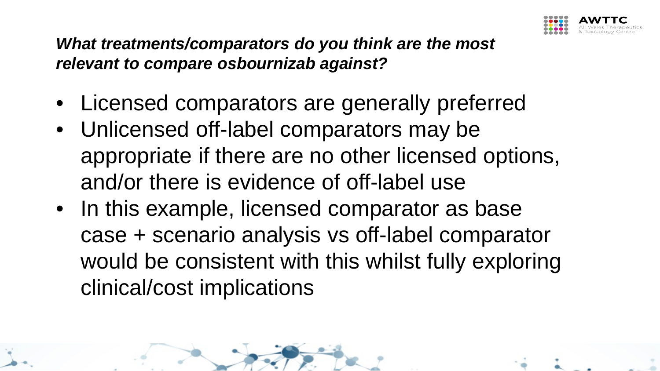

#### *What treatments/comparators do you think are the most relevant to compare osbournizab against?*

- Licensed comparators are generally preferred
- Unlicensed off-label comparators may be appropriate if there are no other licensed options, and/or there is evidence of off-label use
- In this example, licensed comparator as base case + scenario analysis vs off-label comparator would be consistent with this whilst fully exploring clinical/cost implications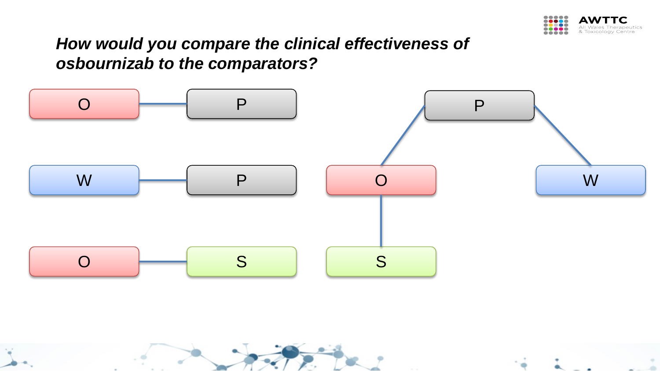

## *How would you compare the clinical effectiveness of osbournizab to the comparators?*

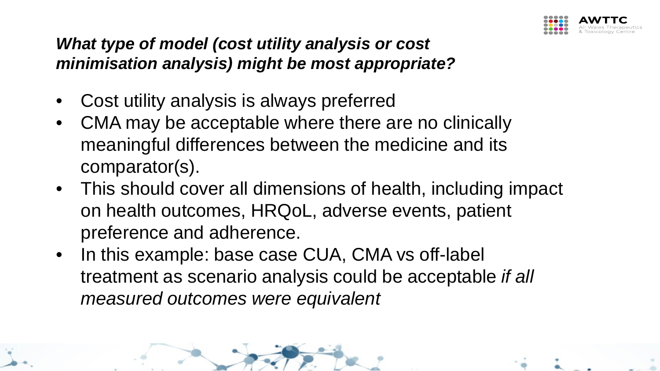

### *What type of model (cost utility analysis or cost minimisation analysis) might be most appropriate?*

- Cost utility analysis is always preferred
- CMA may be acceptable where there are no clinically meaningful differences between the medicine and its comparator(s).
- This should cover all dimensions of health, including impact on health outcomes, HRQoL, adverse events, patient preference and adherence.
- In this example: base case CUA, CMA vs off-label treatment as scenario analysis could be acceptable *if all measured outcomes were equivalent*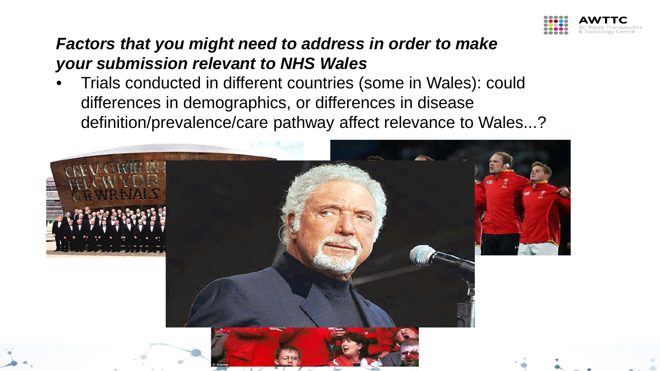

### *Factors that you might need to address in order to make your submission relevant to NHS Wales*

• Trials conducted in different countries (some in Wales): could differences in demographics, or differences in disease definition/prevalence/care pathway affect relevance to Wales...?

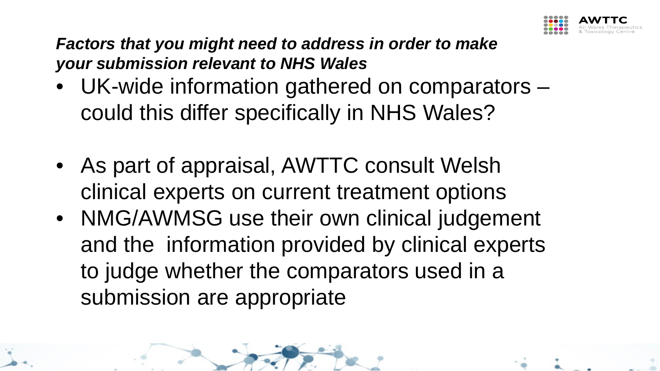

*Factors that you might need to address in order to make your submission relevant to NHS Wales*

- UK-wide information gathered on comparators could this differ specifically in NHS Wales?
- As part of appraisal, AWTTC consult Welsh clinical experts on current treatment options
- NMG/AWMSG use their own clinical judgement and the information provided by clinical experts to judge whether the comparators used in a submission are appropriate